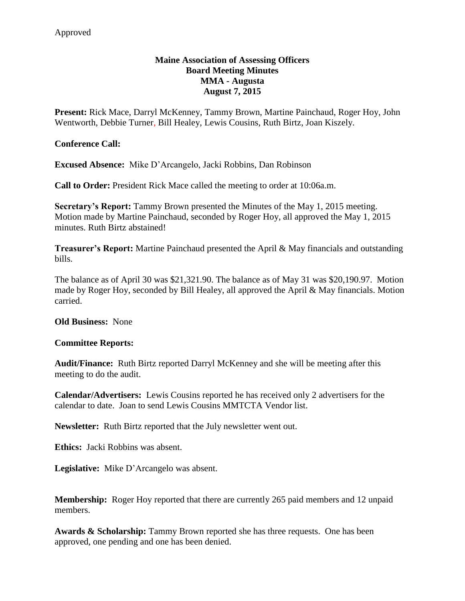## **Maine Association of Assessing Officers Board Meeting Minutes MMA - Augusta August 7, 2015**

**Present:** Rick Mace, Darryl McKenney, Tammy Brown, Martine Painchaud, Roger Hoy, John Wentworth, Debbie Turner, Bill Healey, Lewis Cousins, Ruth Birtz, Joan Kiszely.

# **Conference Call:**

**Excused Absence:** Mike D'Arcangelo, Jacki Robbins, Dan Robinson

**Call to Order:** President Rick Mace called the meeting to order at 10:06a.m.

**Secretary's Report:** Tammy Brown presented the Minutes of the May 1, 2015 meeting. Motion made by Martine Painchaud, seconded by Roger Hoy, all approved the May 1, 2015 minutes. Ruth Birtz abstained!

**Treasurer's Report:** Martine Painchaud presented the April & May financials and outstanding bills.

The balance as of April 30 was \$21,321.90. The balance as of May 31 was \$20,190.97. Motion made by Roger Hoy, seconded by Bill Healey, all approved the April & May financials. Motion carried.

## **Old Business:** None

## **Committee Reports:**

**Audit/Finance:** Ruth Birtz reported Darryl McKenney and she will be meeting after this meeting to do the audit.

**Calendar/Advertisers:** Lewis Cousins reported he has received only 2 advertisers for the calendar to date. Joan to send Lewis Cousins MMTCTA Vendor list.

**Newsletter:** Ruth Birtz reported that the July newsletter went out.

**Ethics:** Jacki Robbins was absent.

**Legislative:** Mike D'Arcangelo was absent.

**Membership:** Roger Hoy reported that there are currently 265 paid members and 12 unpaid members.

**Awards & Scholarship:** Tammy Brown reported she has three requests. One has been approved, one pending and one has been denied.